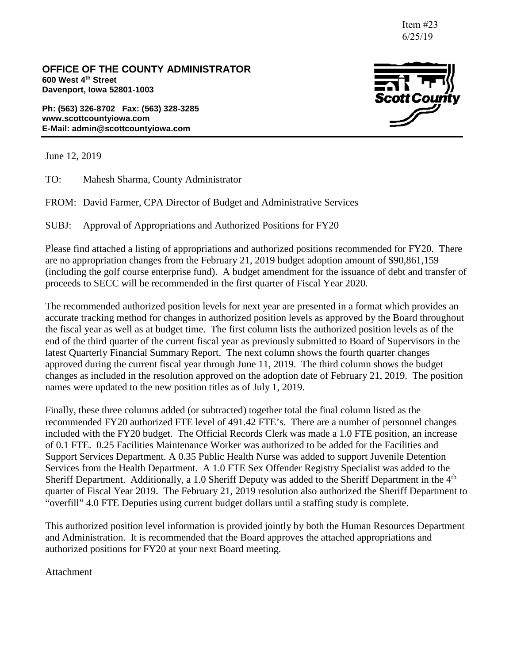Item #23 6/25/19

**OFFICE OF THE COUNTY ADMINISTRATOR 600 West 4th Street Davenport, Iowa 52801-1003**

**Ph: (563) 326-8702 Fax: (563) 328-3285 www.scottcountyiowa.com E-Mail: admin@scottcountyiowa.com**



June 12, 2019

TO: Mahesh Sharma, County Administrator

FROM: David Farmer, CPA Director of Budget and Administrative Services

SUBJ: Approval of Appropriations and Authorized Positions for FY20

Please find attached a listing of appropriations and authorized positions recommended for FY20. There are no appropriation changes from the February 21, 2019 budget adoption amount of \$90,861,159 (including the golf course enterprise fund). A budget amendment for the issuance of debt and transfer of proceeds to SECC will be recommended in the first quarter of Fiscal Year 2020.

The recommended authorized position levels for next year are presented in a format which provides an accurate tracking method for changes in authorized position levels as approved by the Board throughout the fiscal year as well as at budget time. The first column lists the authorized position levels as of the end of the third quarter of the current fiscal year as previously submitted to Board of Supervisors in the latest Quarterly Financial Summary Report. The next column shows the fourth quarter changes approved during the current fiscal year through June 11, 2019. The third column shows the budget changes as included in the resolution approved on the adoption date of February 21, 2019. The position names were updated to the new position titles as of July 1, 2019.

Finally, these three columns added (or subtracted) together total the final column listed as the recommended FY20 authorized FTE level of 491.42 FTE's. There are a number of personnel changes included with the FY20 budget. The Official Records Clerk was made a 1.0 FTE position, an increase of 0.1 FTE. 0.25 Facilities Maintenance Worker was authorized to be added for the Facilities and Support Services Department. A 0.35 Public Health Nurse was added to support Juvenile Detention Services from the Health Department. A 1.0 FTE Sex Offender Registry Specialist was added to the Sheriff Department. Additionally, a 1.0 Sheriff Deputy was added to the Sheriff Department in the 4<sup>th</sup> quarter of Fiscal Year 2019. The February 21, 2019 resolution also authorized the Sheriff Department to "overfill" 4.0 FTE Deputies using current budget dollars until a staffing study is complete.

This authorized position level information is provided jointly by both the Human Resources Department and Administration. It is recommended that the Board approves the attached appropriations and authorized positions for FY20 at your next Board meeting.

Attachment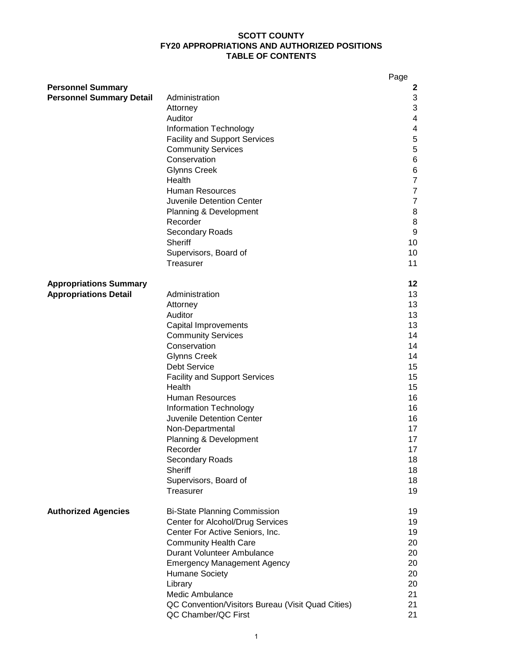#### **SCOTT COUNTY FY20 APPROPRIATIONS AND AUTHORIZED POSITIONS TABLE OF CONTENTS**

|                                                               |                                                                                                                                                                                                                                                                                                                                                                                                                                  | Page                                                                                                                             |
|---------------------------------------------------------------|----------------------------------------------------------------------------------------------------------------------------------------------------------------------------------------------------------------------------------------------------------------------------------------------------------------------------------------------------------------------------------------------------------------------------------|----------------------------------------------------------------------------------------------------------------------------------|
| <b>Personnel Summary</b><br><b>Personnel Summary Detail</b>   | Administration<br>Attorney<br>Auditor<br>Information Technology<br><b>Facility and Support Services</b><br><b>Community Services</b><br>Conservation<br><b>Glynns Creek</b><br>Health<br><b>Human Resources</b><br><b>Juvenile Detention Center</b><br>Planning & Development<br>Recorder<br><b>Secondary Roads</b><br>Sheriff<br>Supervisors, Board of<br>Treasurer                                                             | 2<br>3<br>3<br>4<br>4<br>5<br>5<br>6<br>6<br>$\overline{7}$<br>$\overline{7}$<br>$\overline{7}$<br>8<br>8<br>9<br>10<br>10<br>11 |
| <b>Appropriations Summary</b><br><b>Appropriations Detail</b> | Administration<br>Attorney<br>Auditor<br>Capital Improvements<br><b>Community Services</b><br>Conservation<br><b>Glynns Creek</b><br><b>Debt Service</b><br><b>Facility and Support Services</b><br>Health<br><b>Human Resources</b><br>Information Technology<br><b>Juvenile Detention Center</b><br>Non-Departmental<br>Planning & Development<br>Recorder<br>Secondary Roads<br>Sheriff<br>Supervisors, Board of<br>Treasurer | 12<br>13<br>13<br>13<br>13<br>14<br>14<br>14<br>15<br>15<br>15<br>16<br>16<br>16<br>17<br>17<br>17<br>18<br>18<br>18<br>19       |
| <b>Authorized Agencies</b>                                    | <b>Bi-State Planning Commission</b><br>Center for Alcohol/Drug Services<br>Center For Active Seniors, Inc.<br><b>Community Health Care</b><br>Durant Volunteer Ambulance<br><b>Emergency Management Agency</b><br><b>Humane Society</b><br>Library<br>Medic Ambulance<br>QC Convention/Visitors Bureau (Visit Quad Cities)<br>QC Chamber/QC First                                                                                | 19<br>19<br>19<br>20<br>20<br>20<br>20<br>20<br>21<br>21<br>21                                                                   |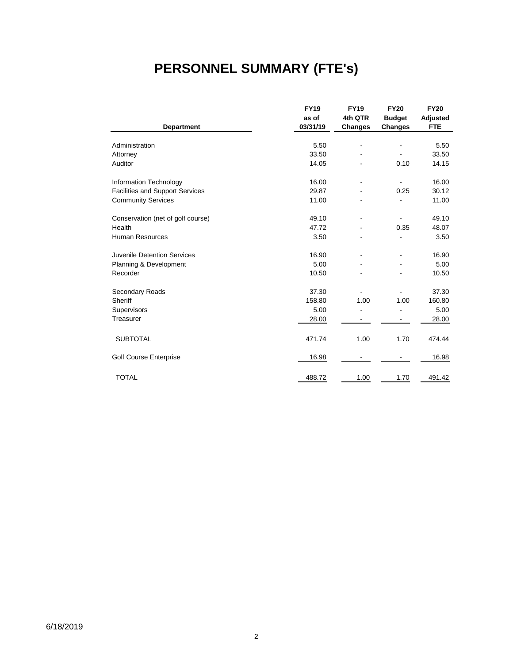# **PERSONNEL SUMMARY (FTE's)**

|                                        | <b>FY19</b> | <b>FY19</b>    | <b>FY20</b>    | <b>FY20</b>     |
|----------------------------------------|-------------|----------------|----------------|-----------------|
|                                        | as of       | 4th QTR        | <b>Budget</b>  | <b>Adjusted</b> |
| <b>Department</b>                      | 03/31/19    | <b>Changes</b> | <b>Changes</b> | <b>FTE</b>      |
|                                        |             |                |                |                 |
| Administration                         | 5.50        |                |                | 5.50            |
| Attorney                               | 33.50       |                |                | 33.50           |
| Auditor                                | 14.05       |                | 0.10           | 14.15           |
| Information Technology                 | 16.00       |                |                | 16.00           |
| <b>Facilities and Support Services</b> | 29.87       |                | 0.25           | 30.12           |
| <b>Community Services</b>              | 11.00       |                |                | 11.00           |
| Conservation (net of golf course)      | 49.10       |                |                | 49.10           |
| Health                                 | 47.72       |                | 0.35           | 48.07           |
| <b>Human Resources</b>                 | 3.50        |                |                | 3.50            |
| Juvenile Detention Services            | 16.90       |                | $\overline{a}$ | 16.90           |
| Planning & Development                 | 5.00        |                |                | 5.00            |
| Recorder                               | 10.50       |                |                | 10.50           |
| Secondary Roads                        | 37.30       |                |                | 37.30           |
| Sheriff                                | 158.80      | 1.00           | 1.00           | 160.80          |
| Supervisors                            | 5.00        |                |                | 5.00            |
| Treasurer                              | 28.00       |                |                | 28.00           |
| <b>SUBTOTAL</b>                        | 471.74      | 1.00           | 1.70           | 474.44          |
| <b>Golf Course Enterprise</b>          | 16.98       |                | ۰              | 16.98           |
| <b>TOTAL</b>                           | 488.72      | 1.00           | 1.70           | 491.42          |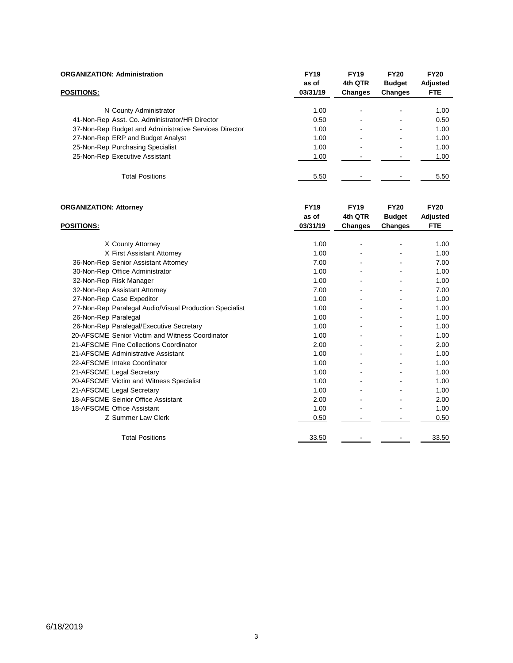| <b>ORGANIZATION: Administration</b>                    | <b>FY19</b><br>as of | <b>FY19</b><br>4th QTR | <b>FY20</b><br><b>Budget</b> | <b>FY20</b><br>Adjusted |
|--------------------------------------------------------|----------------------|------------------------|------------------------------|-------------------------|
| <b>POSITIONS:</b>                                      | 03/31/19             | <b>Changes</b>         | Changes                      | <b>FTE</b>              |
|                                                        |                      |                        |                              |                         |
| N County Administrator                                 | 1.00                 | $\blacksquare$         | ۰                            | 1.00                    |
| 41-Non-Rep Asst. Co. Administrator/HR Director         | 0.50                 | ٠                      |                              | 0.50                    |
| 37-Non-Rep Budget and Administrative Services Director | 1.00                 | $\blacksquare$         | -                            | 1.00                    |
| 27-Non-Rep ERP and Budget Analyst                      | 1.00                 | $\blacksquare$         | ۰                            | 1.00                    |
| 25-Non-Rep Purchasing Specialist                       | 1.00                 | ٠                      |                              | 1.00                    |
| 25-Non-Rep Executive Assistant                         | 1.00                 |                        |                              | 1.00                    |
| <b>Total Positions</b>                                 | 5.50                 |                        |                              | 5.50                    |

| <b>ORGANIZATION: Attorney</b>                           | <b>FY19</b><br>as of | <b>FY19</b><br>4th QTR | <b>FY20</b><br><b>Budget</b> | <b>FY20</b><br><b>Adjusted</b> |
|---------------------------------------------------------|----------------------|------------------------|------------------------------|--------------------------------|
| <b>POSITIONS:</b>                                       | 03/31/19             | Changes                | <b>Changes</b>               | <b>FTE</b>                     |
|                                                         | 1.00                 |                        |                              | 1.00                           |
| X County Attorney<br>X First Assistant Attorney         | 1.00                 |                        |                              | 1.00                           |
|                                                         |                      |                        |                              |                                |
| 36-Non-Rep Senior Assistant Attorney                    | 7.00                 |                        |                              | 7.00                           |
| 30-Non-Rep Office Administrator                         | 1.00                 |                        |                              | 1.00                           |
| 32-Non-Rep Risk Manager                                 | 1.00                 |                        |                              | 1.00                           |
| 32-Non-Rep Assistant Attorney                           | 7.00                 |                        |                              | 7.00                           |
| 27-Non-Rep Case Expeditor                               | 1.00                 |                        |                              | 1.00                           |
| 27-Non-Rep Paralegal Audio/Visual Production Specialist | 1.00                 |                        |                              | 1.00                           |
| 26-Non-Rep Paralegal                                    | 1.00                 |                        |                              | 1.00                           |
| 26-Non-Rep Paralegal/Executive Secretary                | 1.00                 |                        |                              | 1.00                           |
| 20-AFSCME Senior Victim and Witness Coordinator         | 1.00                 |                        |                              | 1.00                           |
| 21-AFSCME Fine Collections Coordinator                  | 2.00                 |                        |                              | 2.00                           |
| 21-AFSCME Administrative Assistant                      | 1.00                 |                        |                              | 1.00                           |
| 22-AFSCME Intake Coordinator                            | 1.00                 |                        |                              | 1.00                           |
| 21-AFSCME Legal Secretary                               | 1.00                 |                        |                              | 1.00                           |
| 20-AFSCME Victim and Witness Specialist                 | 1.00                 |                        |                              | 1.00                           |
| 21-AFSCME Legal Secretary                               | 1.00                 |                        |                              | 1.00                           |
| 18-AFSCME Seinior Office Assistant                      | 2.00                 |                        |                              | 2.00                           |
| 18-AFSCME Office Assistant                              | 1.00                 |                        |                              | 1.00                           |
| Z Summer Law Clerk                                      | 0.50                 |                        |                              | 0.50                           |
|                                                         |                      |                        |                              |                                |
| <b>Total Positions</b>                                  | 33.50                |                        |                              | 33.50                          |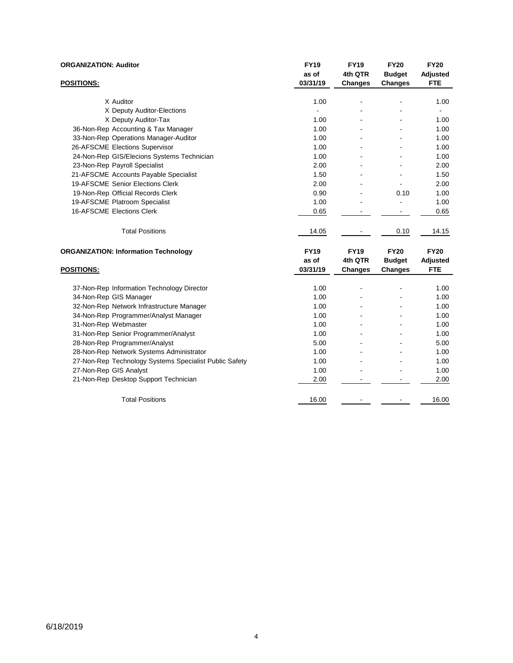| <b>ORGANIZATION: Auditor</b>                           | <b>FY19</b><br>as of | <b>FY19</b><br>4th QTR | <b>FY20</b><br><b>Budget</b> | <b>FY20</b><br>Adjusted |
|--------------------------------------------------------|----------------------|------------------------|------------------------------|-------------------------|
| <b>POSITIONS:</b>                                      | 03/31/19             | <b>Changes</b>         | <b>Changes</b>               | <b>FTE</b>              |
| X Auditor                                              | 1.00                 | L,                     |                              | 1.00                    |
| X Deputy Auditor-Elections                             |                      |                        |                              |                         |
| X Deputy Auditor-Tax                                   | 1.00                 |                        |                              | 1.00                    |
| 36-Non-Rep Accounting & Tax Manager                    | 1.00                 |                        |                              | 1.00                    |
| 33-Non-Rep Operations Manager-Auditor                  | 1.00                 |                        |                              | 1.00                    |
| 26-AFSCME Elections Supervisor                         | 1.00                 |                        |                              | 1.00                    |
| 24-Non-Rep GIS/Elecions Systems Technician             | 1.00                 |                        |                              | 1.00                    |
| 23-Non-Rep Payroll Specialist                          | 2.00                 |                        |                              | 2.00                    |
| 21-AFSCME Accounts Payable Specialist                  | 1.50                 |                        |                              | 1.50                    |
| 19-AFSCME Senior Elections Clerk                       | 2.00                 |                        |                              | 2.00                    |
| 19-Non-Rep Official Records Clerk                      | 0.90                 |                        | 0.10                         | 1.00                    |
| 19-AFSCME Platroom Specialist                          | 1.00                 |                        |                              | 1.00                    |
| 16-AFSCME Elections Clerk                              | 0.65                 |                        |                              | 0.65                    |
| <b>Total Positions</b>                                 | 14.05                |                        | 0.10                         | 14.15                   |
| <b>ORGANIZATION: Information Technology</b>            | <b>FY19</b>          | <b>FY19</b>            | <b>FY20</b>                  | <b>FY20</b>             |
|                                                        | as of                | 4th QTR                | <b>Budget</b>                | <b>Adjusted</b>         |
| <b>POSITIONS:</b>                                      | 03/31/19             | <b>Changes</b>         | <b>Changes</b>               | <b>FTE</b>              |
| 37-Non-Rep Information Technology Director             | 1.00                 |                        |                              | 1.00                    |
| 34-Non-Rep GIS Manager                                 | 1.00                 |                        |                              | 1.00                    |
| 32-Non-Rep Network Infrastructure Manager              | 1.00                 |                        |                              | 1.00                    |
| 34-Non-Rep Programmer/Analyst Manager                  | 1.00                 |                        |                              | 1.00                    |
| 31-Non-Rep Webmaster                                   | 1.00                 |                        |                              | 1.00                    |
| 31-Non-Rep Senior Programmer/Analyst                   | 1.00                 |                        |                              | 1.00                    |
| 28-Non-Rep Programmer/Analyst                          | 5.00                 |                        |                              | 5.00                    |
| 28-Non-Rep Network Systems Administrator               | 1.00                 |                        |                              | 1.00                    |
| 27-Non-Rep Technology Systems Specialist Public Safety | 1.00                 |                        |                              | 1.00                    |
| 27-Non-Rep GIS Analyst                                 | 1.00                 |                        |                              | 1.00                    |
| 21-Non-Rep Desktop Support Technician                  | 2.00                 |                        |                              | 2.00                    |
| <b>Total Positions</b>                                 | 16.00                |                        |                              | 16.00                   |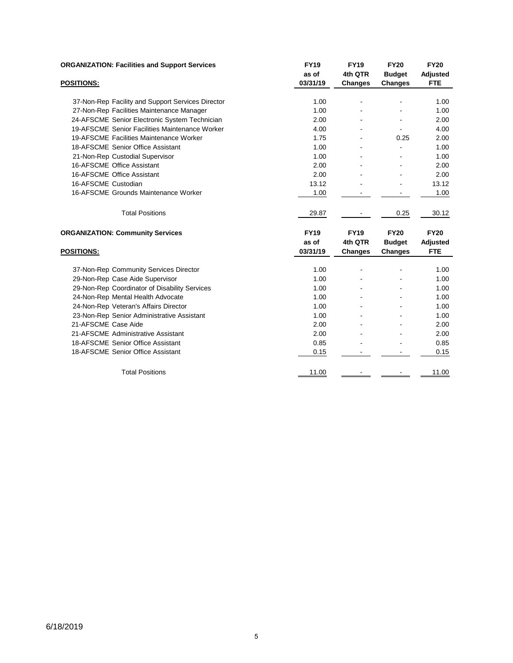| <b>ORGANIZATION: Facilities and Support Services</b> | <b>FY19</b> | <b>FY19</b>    | <b>FY20</b>    | <b>FY20</b>     |
|------------------------------------------------------|-------------|----------------|----------------|-----------------|
|                                                      | as of       | 4th QTR        | <b>Budget</b>  | <b>Adjusted</b> |
| <b>POSITIONS:</b>                                    | 03/31/19    | Changes        | <b>Changes</b> | <b>FTE</b>      |
|                                                      |             |                |                |                 |
| 37-Non-Rep Facility and Support Services Director    | 1.00        |                |                | 1.00            |
| 27-Non-Rep Facilities Maintenance Manager            | 1.00        |                |                | 1.00            |
| 24-AFSCME Senior Electronic System Technician        | 2.00        |                | $\blacksquare$ | 2.00            |
| 19-AFSCME Senior Facilities Maintenance Worker       | 4.00        |                | $\blacksquare$ | 4.00            |
| 19-AFSCME Facilities Maintenance Worker              | 1.75        | $\blacksquare$ | 0.25           | 2.00            |
| 18-AFSCME Senior Office Assistant                    | 1.00        |                | L,             | 1.00            |
| 21-Non-Rep Custodial Supervisor                      | 1.00        |                |                | 1.00            |
| 16-AFSCME Office Assistant                           | 2.00        |                |                | 2.00            |
| 16-AFSCME Office Assistant                           | 2.00        |                |                | 2.00            |
| 16-AFSCME Custodian                                  | 13.12       |                |                | 13.12           |
| 16-AFSCME Grounds Maintenance Worker                 | 1.00        |                |                | 1.00            |
| <b>Total Positions</b>                               | 29.87       |                | 0.25           | 30.12           |
| <b>ORGANIZATION: Community Services</b>              | <b>FY19</b> | <b>FY19</b>    | <b>FY20</b>    | <b>FY20</b>     |
|                                                      | as of       | 4th QTR        | <b>Budget</b>  | <b>Adjusted</b> |
| <b>POSITIONS:</b>                                    | 03/31/19    | <b>Changes</b> | Changes        | <b>FTE</b>      |
| 37-Non-Rep Community Services Director               | 1.00        | $\blacksquare$ |                | 1.00            |
| 29-Non-Rep Case Aide Supervisor                      | 1.00        |                |                | 1.00            |
| 29-Non-Rep Coordinator of Disability Services        | 1.00        |                |                | 1.00            |
| 24-Non-Rep Mental Health Advocate                    | 1.00        |                |                | 1.00            |
| 24-Non-Rep Veteran's Affairs Director                | 1.00        |                | $\blacksquare$ | 1.00            |
| 23-Non-Rep Senior Administrative Assistant           | 1.00        |                |                | 1.00            |
| 21-AFSCME Case Aide                                  | 2.00        |                |                | 2.00            |
| 21-AFSCME Administrative Assistant                   | 2.00        |                |                | 2.00            |
| 18-AFSCME Senior Office Assistant                    | 0.85        |                |                | 0.85            |
| 18-AFSCME Senior Office Assistant                    | 0.15        |                |                | 0.15            |
| <b>Total Positions</b>                               | 11.00       |                |                | 11.00           |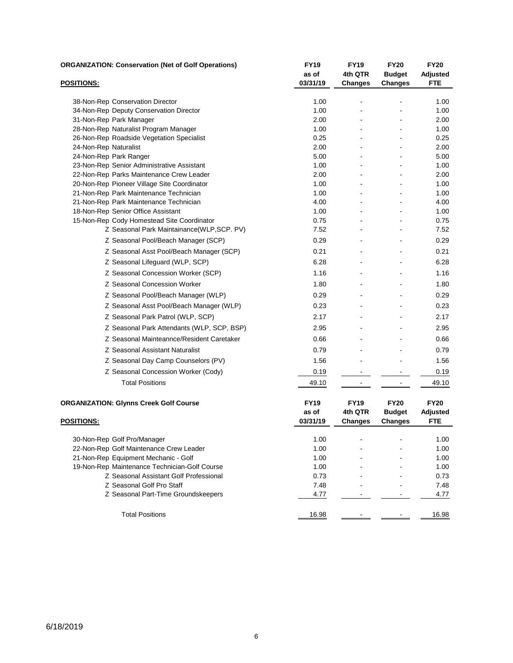| <b>ORGANIZATION: Conservation (Net of Golf Operations)</b>                   | <b>FY19</b><br>as of | <b>FY19</b><br>4th QTR | <b>FY20</b><br><b>Budget</b> | <b>FY20</b><br>Adjusted |
|------------------------------------------------------------------------------|----------------------|------------------------|------------------------------|-------------------------|
| <b>POSITIONS:</b>                                                            | 03/31/19             | <b>Changes</b>         | <b>Changes</b>               | <b>FTE</b>              |
| 38-Non-Rep Conservation Director                                             | 1.00                 |                        |                              | 1.00                    |
| 34-Non-Rep Deputy Conservation Director                                      | 1.00                 |                        |                              | 1.00                    |
| 31-Non-Rep Park Manager                                                      | 2.00                 |                        |                              | 2.00                    |
| 28-Non-Rep Naturalist Program Manager                                        | 1.00                 |                        |                              | 1.00                    |
| 26-Non-Rep Roadside Vegetation Specialist                                    | 0.25                 |                        |                              | 0.25                    |
| 24-Non-Rep Naturalist                                                        | 2.00                 | $\blacksquare$         |                              | 2.00                    |
| 24-Non-Rep Park Ranger                                                       | 5.00                 |                        |                              | 5.00                    |
| 23-Non-Rep Senior Administrative Assistant                                   | 1.00                 |                        |                              | 1.00                    |
| 22-Non-Rep Parks Maintenance Crew Leader                                     | 2.00                 |                        |                              | 2.00                    |
| 20-Non-Rep Pioneer Village Site Coordinator                                  | 1.00                 |                        |                              | 1.00                    |
| 21-Non-Rep Park Maintenance Technician                                       | 1.00<br>4.00         | $\blacksquare$         |                              | 1.00<br>4.00            |
| 21-Non-Rep Park Maintenance Technician<br>18-Non-Rep Senior Office Assistant | 1.00                 |                        |                              | 1.00                    |
| 15-Non-Rep Cody Homestead Site Coordinator                                   | 0.75                 |                        |                              | 0.75                    |
| Z Seasonal Park Maintainance(WLP,SCP. PV)                                    | 7.52                 |                        |                              | 7.52                    |
| Z Seasonal Pool/Beach Manager (SCP)                                          | 0.29                 |                        |                              | 0.29                    |
| Z Seasonal Asst Pool/Beach Manager (SCP)                                     | 0.21                 |                        |                              | 0.21                    |
| Z Seasonal Lifeguard (WLP, SCP)                                              | 6.28                 |                        |                              | 6.28                    |
| Z Seasonal Concession Worker (SCP)                                           | 1.16                 |                        | $\blacksquare$               | 1.16                    |
| Z Seasonal Concession Worker                                                 | 1.80                 |                        |                              | 1.80                    |
| Z Seasonal Pool/Beach Manager (WLP)                                          | 0.29                 |                        |                              | 0.29                    |
| Z Seasonal Asst Pool/Beach Manager (WLP)                                     | 0.23                 |                        |                              | 0.23                    |
| Z Seasonal Park Patrol (WLP, SCP)                                            | 2.17                 |                        |                              | 2.17                    |
| Z Seasonal Park Attendants (WLP, SCP, BSP)                                   | 2.95                 |                        |                              | 2.95                    |
| Z Seasonal Mainteannce/Resident Caretaker                                    | 0.66                 |                        |                              | 0.66                    |
| Z Seasonal Assistant Naturalist                                              | 0.79                 |                        |                              | 0.79                    |
| Z Seasonal Day Camp Counselors (PV)                                          | 1.56                 |                        |                              | 1.56                    |
| Z Seasonal Concession Worker (Cody)                                          | 0.19                 |                        |                              | 0.19                    |
| <b>Total Positions</b>                                                       | 49.10                |                        |                              | 49.10                   |
| <b>ORGANIZATION: Glynns Creek Golf Course</b>                                | <b>FY19</b>          | <b>FY19</b>            | <b>FY20</b>                  | <b>FY20</b>             |
|                                                                              | as of                | 4th QTR                | <b>Budget</b>                | <b>Adjusted</b>         |
| <b>POSITIONS:</b>                                                            | 03/31/19             | <b>Changes</b>         | Changes                      | <b>FTE</b>              |
| 30-Non-Rep Golf Pro/Manager                                                  | 1.00                 |                        |                              | 1.00                    |
| 22-Non-Rep Golf Maintenance Crew Leader                                      | 1.00                 |                        |                              | 1.00                    |
| 21-Non-Rep Equipment Mechanic - Golf                                         | 1.00                 |                        |                              | 1.00                    |
| 19-Non-Rep Maintenance Technician-Golf Course                                | 1.00                 |                        |                              | 1.00                    |
| Z Seasonal Assistant Golf Professional                                       | 0.73                 |                        |                              | 0.73                    |
| Z Seasonal Golf Pro Staff                                                    | 7.48                 |                        |                              | 7.48                    |
| Z Seasonal Part-Time Groundskeepers                                          | 4.77                 |                        |                              | 4.77                    |
| <b>Total Positions</b>                                                       | 16.98                |                        |                              | 16.98                   |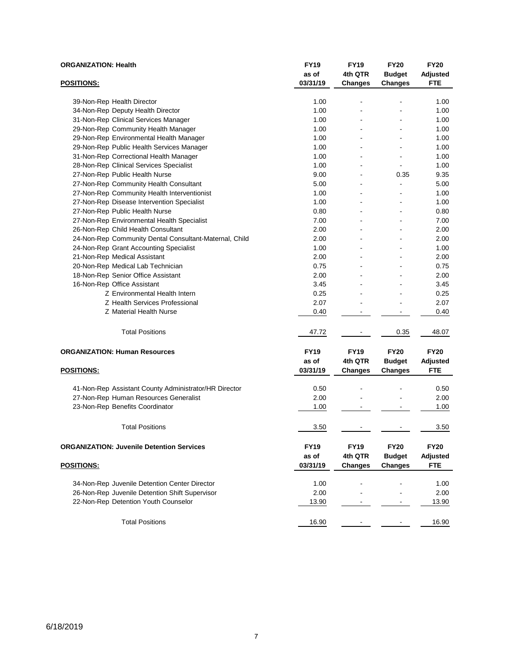| <b>ORGANIZATION: Health</b>                            | <b>FY19</b><br>as of | <b>FY19</b><br>4th QTR | <b>FY20</b><br><b>Budget</b> | <b>FY20</b><br><b>Adjusted</b> |
|--------------------------------------------------------|----------------------|------------------------|------------------------------|--------------------------------|
| <b>POSITIONS:</b>                                      | 03/31/19             | Changes                | <b>Changes</b>               | <b>FTE</b>                     |
| 39-Non-Rep Health Director                             | 1.00                 | ٠                      |                              | 1.00                           |
| 34-Non-Rep Deputy Health Director                      | 1.00                 | $\blacksquare$         | ä,                           | 1.00                           |
| 31-Non-Rep Clinical Services Manager                   | 1.00                 |                        |                              | 1.00                           |
| 29-Non-Rep Community Health Manager                    | 1.00                 |                        | ä,                           | 1.00                           |
| 29-Non-Rep Environmental Health Manager                | 1.00                 |                        | L.                           | 1.00                           |
| 29-Non-Rep Public Health Services Manager              | 1.00                 | $\blacksquare$         | ÷,                           | 1.00                           |
| 31-Non-Rep Correctional Health Manager                 | 1.00                 |                        | ÷,                           | 1.00                           |
| 28-Non-Rep Clinical Services Specialist                | 1.00                 |                        | ä,                           | 1.00                           |
| 27-Non-Rep Public Health Nurse                         | 9.00                 | $\blacksquare$         | 0.35                         | 9.35                           |
| 27-Non-Rep Community Health Consultant                 | 5.00                 |                        |                              | 5.00                           |
| 27-Non-Rep Community Health Interventionist            | 1.00                 |                        |                              | 1.00                           |
| 27-Non-Rep Disease Intervention Specialist             | 1.00                 | $\blacksquare$         | ä,                           | 1.00                           |
| 27-Non-Rep Public Health Nurse                         | 0.80                 |                        |                              | 0.80                           |
| 27-Non-Rep Environmental Health Specialist             | 7.00                 |                        | L,                           | 7.00                           |
| 26-Non-Rep Child Health Consultant                     | 2.00                 |                        | L,                           | 2.00                           |
| 24-Non-Rep Community Dental Consultant-Maternal, Child | 2.00                 |                        | ä,                           | 2.00                           |
| 24-Non-Rep Grant Accounting Specialist                 | 1.00                 |                        | -                            | 1.00                           |
| 21-Non-Rep Medical Assistant                           | 2.00                 | $\blacksquare$         | L.                           | 2.00                           |
| 20-Non-Rep Medical Lab Technician                      | 0.75                 |                        |                              | 0.75                           |
| 18-Non-Rep Senior Office Assistant                     | 2.00                 |                        |                              | 2.00                           |
| 16-Non-Rep Office Assistant                            | 3.45                 |                        |                              | 3.45                           |
| Z Environmental Health Intern                          | 0.25                 |                        |                              | 0.25                           |
| Z Health Services Professional                         | 2.07                 |                        | ä,                           | 2.07                           |
| Z Material Health Nurse                                | 0.40                 |                        | -                            | 0.40                           |
| <b>Total Positions</b>                                 | 47.72                |                        | 0.35                         | 48.07                          |
| <b>ORGANIZATION: Human Resources</b>                   | <b>FY19</b>          | <b>FY19</b>            | <b>FY20</b>                  | <b>FY20</b>                    |
|                                                        | as of                | 4th QTR                | <b>Budget</b>                | <b>Adjusted</b>                |
| <b>POSITIONS:</b>                                      | 03/31/19             | <b>Changes</b>         | Changes                      | <b>FTE</b>                     |
| 41-Non-Rep Assistant County Administrator/HR Director  | 0.50                 |                        |                              | 0.50                           |
| 27-Non-Rep Human Resources Generalist                  | 2.00                 |                        | ä,                           | 2.00                           |
| 23-Non-Rep Benefits Coordinator                        | 1.00                 |                        |                              | 1.00                           |
| <b>Total Positions</b>                                 | 3.50                 |                        |                              | 3.50                           |
| <b>ORGANIZATION: Juvenile Detention Services</b>       | <b>FY19</b>          | <b>FY19</b>            | <b>FY20</b>                  | <b>FY20</b>                    |
|                                                        | as of                | 4th QTR                | <b>Budget</b>                | <b>Adjusted</b>                |
| <b>POSITIONS:</b>                                      | 03/31/19             | <b>Changes</b>         | <b>Changes</b>               | FTE                            |
| 34-Non-Rep Juvenile Detention Center Director          | 1.00                 |                        |                              | 1.00                           |
| 26-Non-Rep Juvenile Detention Shift Supervisor         | 2.00                 |                        |                              | 2.00                           |
| 22-Non-Rep Detention Youth Counselor                   | 13.90                |                        |                              | 13.90                          |
| <b>Total Positions</b>                                 | 16.90                |                        |                              | 16.90                          |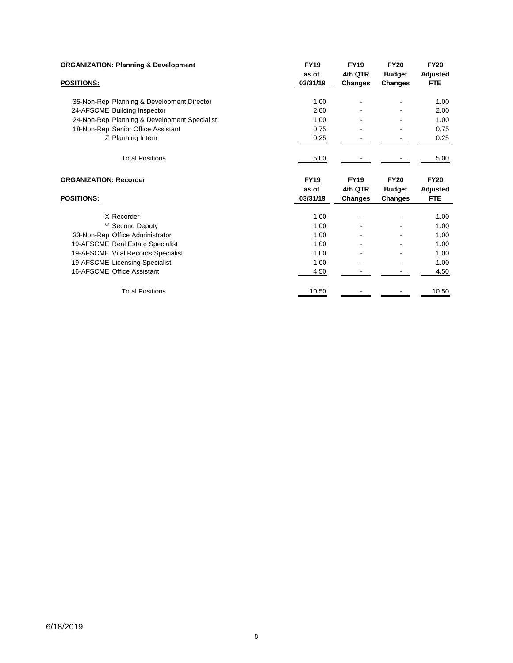| <b>ORGANIZATION: Planning &amp; Development</b> | <b>FY19</b> | <b>FY19</b>    | <b>FY20</b>    | <b>FY20</b>     |
|-------------------------------------------------|-------------|----------------|----------------|-----------------|
|                                                 | as of       | 4th QTR        | <b>Budget</b>  | <b>Adjusted</b> |
| <b>POSITIONS:</b>                               | 03/31/19    | <b>Changes</b> | Changes        | <b>FTE</b>      |
|                                                 |             |                |                |                 |
| 35-Non-Rep Planning & Development Director      | 1.00        |                |                | 1.00            |
| 24-AFSCME Building Inspector                    | 2.00        |                |                | 2.00            |
| 24-Non-Rep Planning & Development Specialist    | 1.00        |                |                | 1.00            |
| 18-Non-Rep Senior Office Assistant              | 0.75        |                |                | 0.75            |
| Z Planning Intern                               | 0.25        |                |                | 0.25            |
| <b>Total Positions</b>                          | 5.00        |                |                | 5.00            |
| <b>ORGANIZATION: Recorder</b>                   | <b>FY19</b> | <b>FY19</b>    | <b>FY20</b>    | <b>FY20</b>     |
|                                                 | as of       | 4th QTR        | <b>Budget</b>  | Adjusted        |
| POSITIONS:                                      | 03/31/19    | Changes        | <b>Changes</b> | <b>FTE</b>      |
|                                                 |             |                |                |                 |
| X Recorder                                      | 1.00        | ٠              |                | 1.00            |
| Y Second Deputy                                 | 1.00        |                |                | 1.00            |
| 33-Non-Rep Office Administrator                 | 1.00        |                |                | 1.00            |
| 19-AFSCME Real Estate Specialist                | 1.00        |                |                | 1.00            |
| 19-AFSCME Vital Records Specialist              | 1.00        |                |                | 1.00            |
| 19-AFSCME Licensing Specialist                  | 1.00        |                |                | 1.00            |
| 16-AFSCME Office Assistant                      | 4.50        |                |                | 4.50            |
| <b>Total Positions</b>                          | 10.50       |                |                | 10.50           |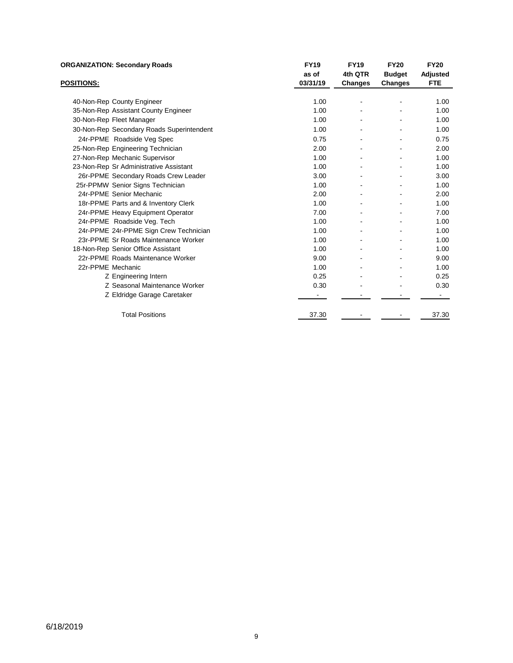| <b>ORGANIZATION: Secondary Roads</b>      | <b>FY19</b> | <b>FY19</b> | <b>FY20</b>   | <b>FY20</b>     |
|-------------------------------------------|-------------|-------------|---------------|-----------------|
|                                           | as of       | 4th QTR     | <b>Budget</b> | <b>Adjusted</b> |
| <b>POSITIONS:</b>                         | 03/31/19    | Changes     | Changes       | <b>FTE</b>      |
|                                           |             |             |               |                 |
| 40-Non-Rep County Engineer                | 1.00        |             |               | 1.00            |
| 35-Non-Rep Assistant County Engineer      | 1.00        |             |               | 1.00            |
| 30-Non-Rep Fleet Manager                  | 1.00        |             |               | 1.00            |
| 30-Non-Rep Secondary Roads Superintendent | 1.00        |             |               | 1.00            |
| 24r-PPME Roadside Veg Spec                | 0.75        |             |               | 0.75            |
| 25-Non-Rep Engineering Technician         | 2.00        |             |               | 2.00            |
| 27-Non-Rep Mechanic Supervisor            | 1.00        |             |               | 1.00            |
| 23-Non-Rep Sr Administrative Assistant    | 1.00        | ٠           |               | 1.00            |
| 26r-PPME Secondary Roads Crew Leader      | 3.00        |             |               | 3.00            |
| 25r-PPMW Senior Signs Technician          | 1.00        |             |               | 1.00            |
| 24r-PPME Senior Mechanic                  | 2.00        |             |               | 2.00            |
| 18r-PPME Parts and & Inventory Clerk      | 1.00        |             |               | 1.00            |
| 24r-PPME Heavy Equipment Operator         | 7.00        |             |               | 7.00            |
| 24r-PPME Roadside Veg. Tech               | 1.00        |             |               | 1.00            |
| 24r-PPME 24r-PPME Sign Crew Technician    | 1.00        |             |               | 1.00            |
| 23r-PPME Sr Roads Maintenance Worker      | 1.00        |             |               | 1.00            |
| 18-Non-Rep Senior Office Assistant        | 1.00        |             |               | 1.00            |
| 22r-PPME Roads Maintenance Worker         | 9.00        |             |               | 9.00            |
| 22r-PPME Mechanic                         | 1.00        |             |               | 1.00            |
| Z Engineering Intern                      | 0.25        |             |               | 0.25            |
| Z Seasonal Maintenance Worker             | 0.30        |             |               | 0.30            |
| Z Eldridge Garage Caretaker               |             |             |               |                 |
| <b>Total Positions</b>                    | 37.30       |             |               | 37.30           |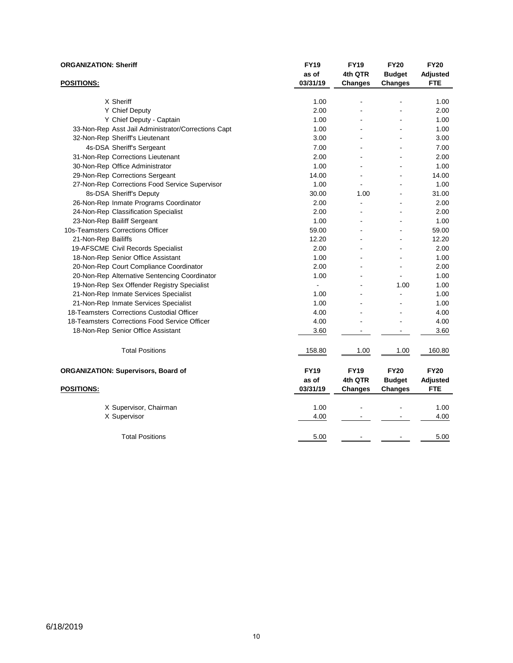| <b>ORGANIZATION: Sheriff</b> |                                                     | <b>FY19</b><br>as of | <b>FY19</b><br>4th QTR | <b>FY20</b><br><b>Budget</b> | <b>FY20</b><br><b>Adjusted</b> |
|------------------------------|-----------------------------------------------------|----------------------|------------------------|------------------------------|--------------------------------|
| <b>POSITIONS:</b>            |                                                     | 03/31/19             | <b>Changes</b>         | <b>Changes</b>               | <b>FTE</b>                     |
|                              | X Sheriff                                           | 1.00                 |                        |                              | 1.00                           |
|                              | Y Chief Deputy                                      | 2.00                 |                        |                              | 2.00                           |
|                              | Y Chief Deputy - Captain                            | 1.00                 |                        |                              | 1.00                           |
|                              | 33-Non-Rep Asst Jail Administrator/Corrections Capt | 1.00                 |                        |                              | 1.00                           |
|                              | 32-Non-Rep Sheriff's Lieutenant                     | 3.00                 | $\overline{a}$         | $\overline{a}$               | 3.00                           |
|                              | 4s-DSA Sheriff's Sergeant                           | 7.00                 |                        |                              | 7.00                           |
|                              | 31-Non-Rep Corrections Lieutenant                   | 2.00                 |                        |                              | 2.00                           |
|                              | 30-Non-Rep Office Administrator                     | 1.00                 |                        |                              | 1.00                           |
|                              | 29-Non-Rep Corrections Sergeant                     | 14.00                |                        |                              | 14.00                          |
|                              | 27-Non-Rep Corrections Food Service Supervisor      | 1.00                 | $\overline{a}$         | ÷                            | 1.00                           |
|                              | 8s-DSA Sheriff's Deputy                             | 30.00                | 1.00                   |                              | 31.00                          |
|                              | 26-Non-Rep Inmate Programs Coordinator              | 2.00                 |                        |                              | 2.00                           |
|                              | 24-Non-Rep Classification Specialist                | 2.00                 |                        |                              | 2.00                           |
|                              | 23-Non-Rep Bailiff Sergeant                         | 1.00                 |                        |                              | 1.00                           |
|                              | 10s-Teamsters Corrections Officer                   | 59.00                | ÷                      | ä,                           | 59.00                          |
| 21-Non-Rep Bailiffs          |                                                     | 12.20                |                        | ä,                           | 12.20                          |
|                              | 19-AFSCME Civil Records Specialist                  | 2.00                 |                        |                              | 2.00                           |
|                              | 18-Non-Rep Senior Office Assistant                  | 1.00                 |                        |                              | 1.00                           |
|                              | 20-Non-Rep Court Compliance Coordinator             | 2.00                 |                        |                              | 2.00                           |
|                              | 20-Non-Rep Alternative Sentencing Coordinator       | 1.00                 | $\overline{a}$         | $\ddot{\phantom{a}}$         | 1.00                           |
|                              | 19-Non-Rep Sex Offender Registry Specialist         | ä,                   |                        | 1.00                         | 1.00                           |
|                              | 21-Non-Rep Inmate Services Specialist               | 1.00                 |                        |                              | 1.00                           |
|                              | 21-Non-Rep Inmate Services Specialist               | 1.00                 |                        |                              | 1.00                           |
|                              | 18-Teamsters Corrections Custodial Officer          | 4.00                 |                        |                              | 4.00                           |
|                              | 18-Teamsters Corrections Food Service Officer       | 4.00                 |                        | ÷                            | 4.00                           |
|                              | 18-Non-Rep Senior Office Assistant                  | 3.60                 |                        |                              | 3.60                           |
|                              | <b>Total Positions</b>                              | 158.80               | 1.00                   | 1.00                         | 160.80                         |
|                              | <b>ORGANIZATION: Supervisors, Board of</b>          | <b>FY19</b>          | <b>FY19</b>            | <b>FY20</b>                  | <b>FY20</b>                    |
|                              |                                                     | as of                | 4th QTR                | <b>Budget</b>                | Adjusted                       |
| <b>POSITIONS:</b>            |                                                     | 03/31/19             | <b>Changes</b>         | <b>Changes</b>               | <b>FTE</b>                     |
|                              | X Supervisor, Chairman                              | 1.00                 |                        |                              | 1.00                           |
|                              | X Supervisor                                        | 4.00                 |                        |                              | 4.00                           |
|                              | <b>Total Positions</b>                              | 5.00                 |                        |                              | 5.00                           |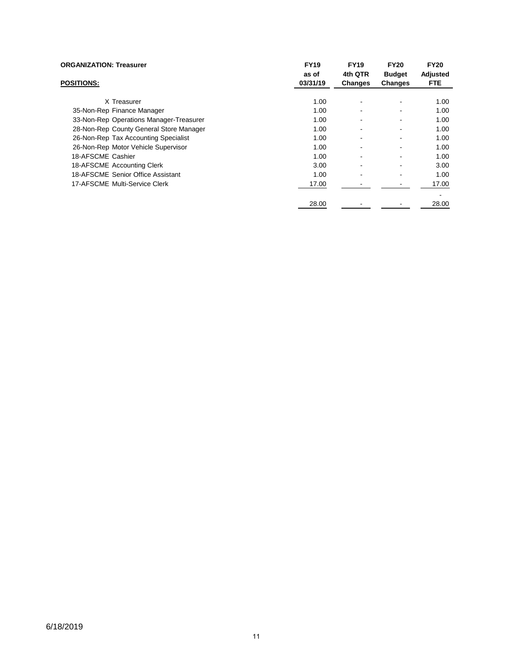| <b>ORGANIZATION: Treasurer</b>          | <b>FY19</b><br>as of | <b>FY19</b><br>4th QTR | <b>FY20</b><br><b>Budget</b> | <b>FY20</b><br>Adjusted |
|-----------------------------------------|----------------------|------------------------|------------------------------|-------------------------|
| <b>POSITIONS:</b>                       | 03/31/19             | <b>Changes</b>         | <b>Changes</b>               | <b>FTE</b>              |
| X Treasurer                             | 1.00                 |                        | $\blacksquare$               | 1.00                    |
| 35-Non-Rep Finance Manager              | 1.00                 |                        | ۰                            | 1.00                    |
| 33-Non-Rep Operations Manager-Treasurer | 1.00                 |                        | $\blacksquare$               | 1.00                    |
| 28-Non-Rep County General Store Manager | 1.00                 |                        | $\blacksquare$               | 1.00                    |
| 26-Non-Rep Tax Accounting Specialist    | 1.00                 |                        | $\blacksquare$               | 1.00                    |
| 26-Non-Rep Motor Vehicle Supervisor     | 1.00                 |                        | $\blacksquare$               | 1.00                    |
| 18-AFSCME Cashier                       | 1.00                 |                        | $\blacksquare$               | 1.00                    |
| 18-AFSCME Accounting Clerk              | 3.00                 |                        | $\blacksquare$               | 3.00                    |
| 18-AFSCME Senior Office Assistant       | 1.00                 |                        | ۰                            | 1.00                    |
| 17-AFSCME Multi-Service Clerk           | 17.00                |                        |                              | 17.00                   |
|                                         |                      |                        |                              |                         |
|                                         | 28.00                |                        |                              | 28.00                   |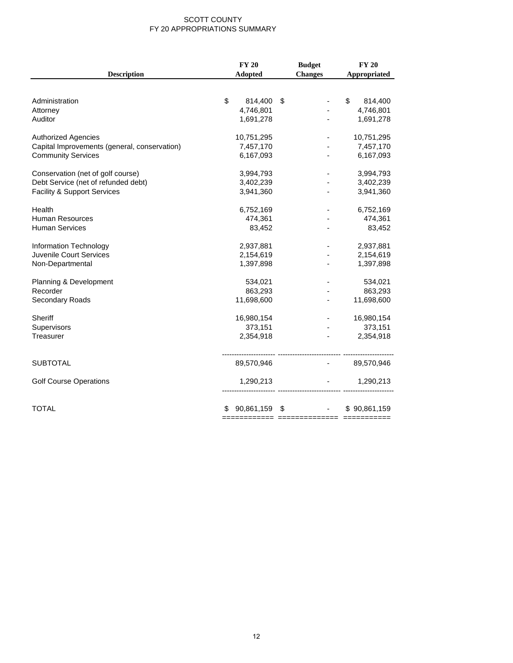#### SCOTT COUNTY FY 20 APPROPRIATIONS SUMMARY

| <b>Description</b>                           | <b>FY 20</b><br><b>Adopted</b> | <b>Budget</b><br><b>Changes</b> | <b>FY 20</b><br>Appropriated |
|----------------------------------------------|--------------------------------|---------------------------------|------------------------------|
|                                              |                                |                                 |                              |
| Administration                               | \$<br>814,400                  | \$                              | \$<br>814,400                |
| Attorney                                     | 4,746,801                      |                                 | 4,746,801                    |
| Auditor                                      | 1,691,278                      |                                 | 1,691,278                    |
| <b>Authorized Agencies</b>                   | 10,751,295                     |                                 | 10,751,295                   |
| Capital Improvements (general, conservation) | 7,457,170                      |                                 | 7,457,170                    |
| <b>Community Services</b>                    | 6,167,093                      | ٠                               | 6,167,093                    |
| Conservation (net of golf course)            | 3,994,793                      |                                 | 3,994,793                    |
| Debt Service (net of refunded debt)          | 3,402,239                      |                                 | 3,402,239                    |
| Facility & Support Services                  | 3,941,360                      |                                 | 3,941,360                    |
| Health                                       | 6,752,169                      |                                 | 6,752,169                    |
| <b>Human Resources</b>                       | 474,361                        |                                 | 474,361                      |
| <b>Human Services</b>                        | 83,452                         |                                 | 83,452                       |
| Information Technology                       | 2,937,881                      |                                 | 2,937,881                    |
| <b>Juvenile Court Services</b>               | 2,154,619                      |                                 | 2,154,619                    |
| Non-Departmental                             | 1,397,898                      |                                 | 1,397,898                    |
| Planning & Development                       | 534,021                        |                                 | 534,021                      |
| Recorder                                     | 863,293                        |                                 | 863,293                      |
| Secondary Roads                              | 11,698,600                     |                                 | 11,698,600                   |
| Sheriff                                      | 16,980,154                     |                                 | 16,980,154                   |
| Supervisors                                  | 373,151                        |                                 | 373,151                      |
| Treasurer                                    | 2,354,918                      |                                 | 2,354,918                    |
| <b>SUBTOTAL</b>                              | 89,570,946                     |                                 | 89,570,946                   |
|                                              |                                |                                 |                              |
| <b>Golf Course Operations</b>                | 1,290,213                      |                                 | 1,290,213                    |
| <b>TOTAL</b>                                 | 90,861,159<br>\$               | \$                              | \$90,861,159                 |
|                                              |                                | ======================          |                              |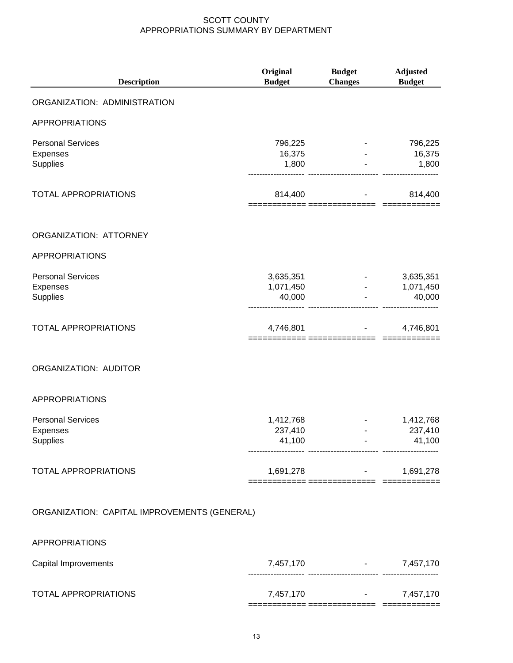| <b>Description</b>                                      | Original<br><b>Budget</b>        | <b>Budget</b><br><b>Changes</b> | <b>Adjusted</b><br><b>Budget</b> |
|---------------------------------------------------------|----------------------------------|---------------------------------|----------------------------------|
| ORGANIZATION: ADMINISTRATION                            |                                  |                                 |                                  |
| <b>APPROPRIATIONS</b>                                   |                                  |                                 |                                  |
| <b>Personal Services</b><br>Expenses<br>Supplies        | 796,225<br>16,375<br>1,800       |                                 | 796,225<br>16,375<br>1,800       |
| <b>TOTAL APPROPRIATIONS</b>                             | 814,400                          |                                 | 814,400                          |
| ORGANIZATION: ATTORNEY                                  |                                  |                                 |                                  |
| <b>APPROPRIATIONS</b>                                   |                                  |                                 |                                  |
| <b>Personal Services</b><br>Expenses<br><b>Supplies</b> | 3,635,351<br>1,071,450<br>40,000 |                                 | 3,635,351<br>1,071,450<br>40,000 |
| <b>TOTAL APPROPRIATIONS</b>                             | 4,746,801                        |                                 | 4,746,801                        |
| ORGANIZATION: AUDITOR                                   |                                  |                                 |                                  |
| <b>APPROPRIATIONS</b>                                   |                                  |                                 |                                  |
| <b>Personal Services</b><br>Expenses<br><b>Supplies</b> | 1,412,768<br>237,410<br>41,100   |                                 | 1,412,768<br>237,410<br>41,100   |
| TOTAL APPROPRIATIONS                                    | 1,691,278                        | := ===============  ===         | 1,691,278                        |
| ORGANIZATION: CAPITAL IMPROVEMENTS (GENERAL)            |                                  |                                 |                                  |
| <b>APPROPRIATIONS</b>                                   |                                  |                                 |                                  |
| Capital Improvements                                    | 7,457,170                        |                                 | 7,457,170                        |

|                      | -------------------- | -------------------------- |           |
|----------------------|----------------------|----------------------------|-----------|
| TOTAL APPROPRIATIONS | 7,457,170            | $\sim$ $\sim$              | 7,457,170 |
|                      |                      | ___<br>______________      |           |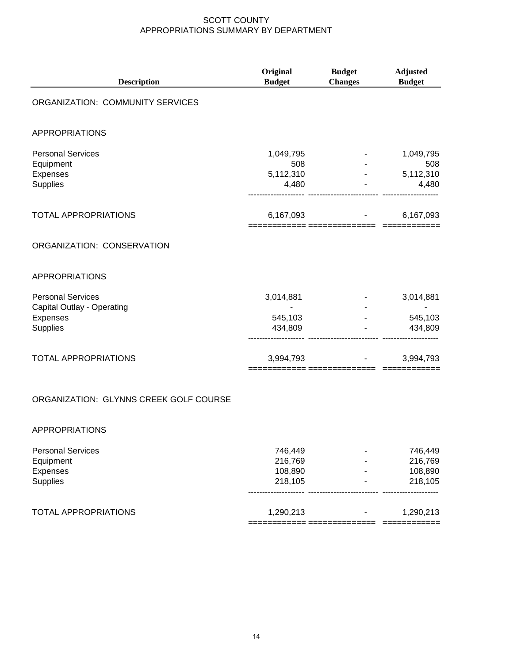| <b>Description</b>                                                             | Original<br><b>Budget</b>              | <b>Budget</b><br><b>Changes</b> | <b>Adjusted</b><br><b>Budget</b>       |
|--------------------------------------------------------------------------------|----------------------------------------|---------------------------------|----------------------------------------|
| ORGANIZATION: COMMUNITY SERVICES                                               |                                        |                                 |                                        |
| <b>APPROPRIATIONS</b>                                                          |                                        |                                 |                                        |
| <b>Personal Services</b><br>Equipment<br>Expenses<br>Supplies                  | 1,049,795<br>508<br>5,112,310<br>4,480 |                                 | 1,049,795<br>508<br>5,112,310<br>4,480 |
| <b>TOTAL APPROPRIATIONS</b>                                                    | 6,167,093                              |                                 | 6,167,093                              |
| ORGANIZATION: CONSERVATION                                                     |                                        |                                 |                                        |
| <b>APPROPRIATIONS</b>                                                          |                                        |                                 |                                        |
| <b>Personal Services</b><br>Capital Outlay - Operating<br>Expenses<br>Supplies | 3,014,881<br>545,103<br>434,809        |                                 | 3,014,881<br>545,103<br>434,809        |
| <b>TOTAL APPROPRIATIONS</b>                                                    | 3,994,793<br>---------- ------         |                                 | 3,994,793                              |
| ORGANIZATION: GLYNNS CREEK GOLF COURSE                                         |                                        |                                 |                                        |
| <b>APPROPRIATIONS</b>                                                          |                                        |                                 |                                        |

| <b>Personal Services</b>    | 746.449   | 746,449   |
|-----------------------------|-----------|-----------|
| Equipment                   | 216,769   | 216,769   |
| Expenses                    | 108,890   | 108,890   |
| <b>Supplies</b>             | 218,105   | 218,105   |
| <b>TOTAL APPROPRIATIONS</b> | 1,290,213 | 1,290,213 |
|                             |           |           |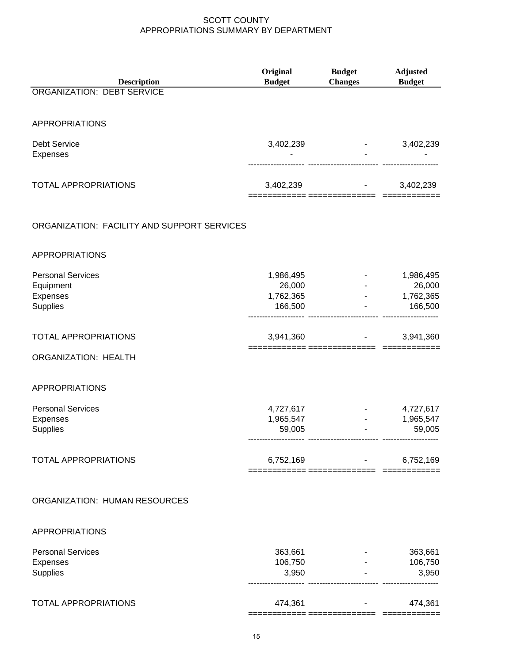| <b>Description</b>                          | Original<br><b>Budget</b>        | <b>Budget</b><br><b>Changes</b> | <b>Adjusted</b><br><b>Budget</b> |
|---------------------------------------------|----------------------------------|---------------------------------|----------------------------------|
| ORGANIZATION: DEBT SERVICE                  |                                  |                                 |                                  |
|                                             |                                  |                                 |                                  |
| <b>APPROPRIATIONS</b>                       |                                  |                                 |                                  |
| <b>Debt Service</b><br><b>Expenses</b>      | 3,402,239                        |                                 | 3,402,239                        |
| <b>TOTAL APPROPRIATIONS</b>                 | 3,402,239                        | ========= ==============        | 3,402,239                        |
| ORGANIZATION: FACILITY AND SUPPORT SERVICES |                                  |                                 |                                  |
| <b>APPROPRIATIONS</b>                       |                                  |                                 |                                  |
| <b>Personal Services</b><br>Equipment       | 1,986,495<br>26,000<br>1,762,365 |                                 | 1,986,495<br>26,000              |
| Expenses<br>Supplies                        | 166,500                          |                                 | 1,762,365<br>166,500             |
| TOTAL APPROPRIATIONS                        | 3,941,360                        |                                 | 3,941,360                        |
| ORGANIZATION: HEALTH                        |                                  |                                 |                                  |
| APPROPRIATIONS                              |                                  |                                 |                                  |
| <b>Personal Services</b>                    | 4,727,617                        |                                 | 4,727,617                        |
| Expenses<br>Supplies                        | 1,965,547<br>59,005              |                                 | 1,965,547<br>59,005              |
| <b>TOTAL APPROPRIATIONS</b>                 | 6,752,169                        |                                 | 6,752,169                        |
| ORGANIZATION: HUMAN RESOURCES               |                                  |                                 |                                  |
| <b>APPROPRIATIONS</b>                       |                                  |                                 |                                  |
| <b>Personal Services</b>                    | 363,661                          |                                 | 363,661                          |
| Expenses                                    | 106,750                          |                                 | 106,750                          |
| Supplies                                    | 3,950                            |                                 | 3,950                            |
| <b>TOTAL APPROPRIATIONS</b>                 | 474,361                          |                                 | 474,361                          |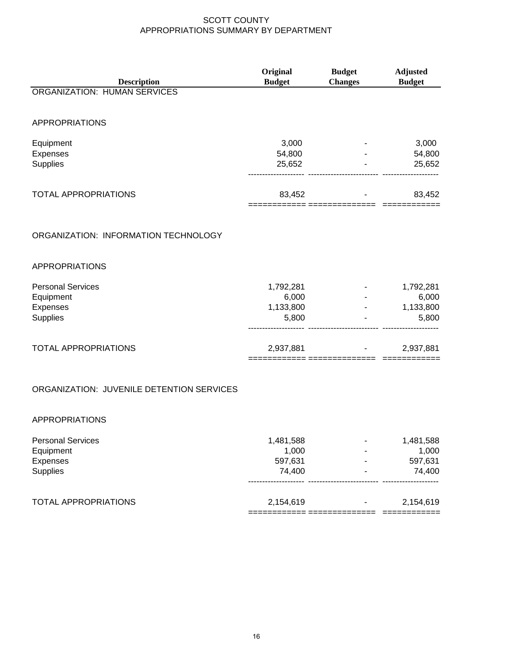|                                           | Original                                   | <b>Budget</b>  | <b>Adjusted</b>           |
|-------------------------------------------|--------------------------------------------|----------------|---------------------------|
| <b>Description</b>                        | <b>Budget</b>                              | <b>Changes</b> | <b>Budget</b>             |
| <b>ORGANIZATION: HUMAN SERVICES</b>       |                                            |                |                           |
| APPROPRIATIONS                            |                                            |                |                           |
| Equipment                                 | 3,000                                      |                | 3,000                     |
| Expenses                                  | 54,800                                     |                | 54,800                    |
| Supplies                                  | 25,652                                     |                | 25,652                    |
| <b>TOTAL APPROPRIATIONS</b>               | 83,452                                     |                | 83,452                    |
| ORGANIZATION: INFORMATION TECHNOLOGY      |                                            |                |                           |
| <b>APPROPRIATIONS</b>                     |                                            |                |                           |
| <b>Personal Services</b>                  | 1,792,281                                  |                | 1,792,281                 |
| Equipment                                 | 6,000                                      |                | 6,000                     |
| Expenses                                  | 1,133,800                                  | $\sim 100$     | 1,133,800                 |
| Supplies                                  | 5,800                                      |                | 5,800                     |
| TOTAL APPROPRIATIONS                      | 2,937,881<br>============= =============== |                | 2,937,881<br>============ |
| ORGANIZATION: JUVENILE DETENTION SERVICES |                                            |                |                           |
| <b>APPROPRIATIONS</b>                     |                                            |                |                           |
| <b>Personal Services</b>                  | 1,481,588                                  |                | 1,481,588                 |
| Equipment                                 | 1,000                                      |                | 1,000                     |
| Expenses                                  | 597,631                                    |                | 597,631                   |
| Supplies                                  | 74,400                                     |                | 74,400                    |
| TOTAL APPROPRIATIONS                      | 2,154,619                                  |                | 2,154,619                 |

============ ============== ============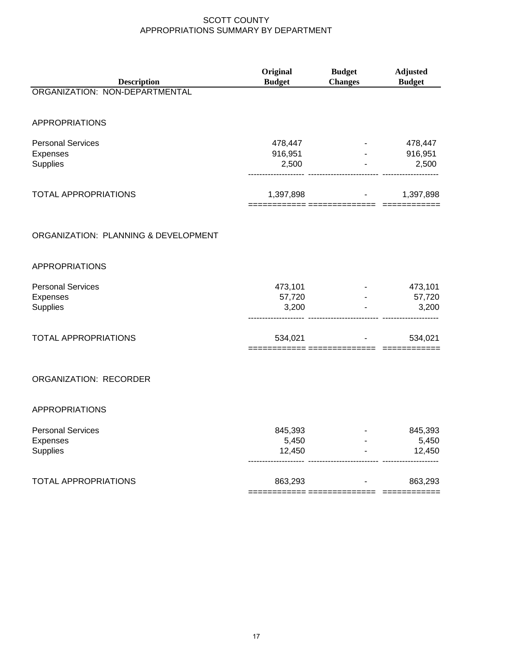| <b>Description</b>                   | Original<br><b>Budget</b> | <b>Budget</b><br><b>Changes</b> | <b>Adjusted</b><br><b>Budget</b> |
|--------------------------------------|---------------------------|---------------------------------|----------------------------------|
| ORGANIZATION: NON-DEPARTMENTAL       |                           |                                 |                                  |
| <b>APPROPRIATIONS</b>                |                           |                                 |                                  |
| <b>Personal Services</b>             | 478,447                   |                                 | 478,447                          |
| Expenses<br>Supplies                 | 916,951<br>2,500          |                                 | 916,951<br>2,500                 |
| <b>TOTAL APPROPRIATIONS</b>          | 1,397,898                 | :====== ============            | 1,397,898                        |
| ORGANIZATION: PLANNING & DEVELOPMENT |                           |                                 |                                  |
| <b>APPROPRIATIONS</b>                |                           |                                 |                                  |
| <b>Personal Services</b>             | 473,101                   |                                 | 473,101                          |
| Expenses<br>Supplies                 | 57,720<br>3,200           |                                 | 57,720<br>3,200                  |
| TOTAL APPROPRIATIONS                 | 534,021                   |                                 | 534,021                          |
| <b>ORGANIZATION: RECORDER</b>        |                           |                                 |                                  |
| <b>APPROPRIATIONS</b>                |                           |                                 |                                  |
| <b>Personal Services</b>             | 845,393                   |                                 | 845,393                          |
| Expenses<br><b>Supplies</b>          | 5,450<br>12,450           |                                 | 5,450<br>12,450                  |
| TOTAL APPROPRIATIONS                 | 863,293                   |                                 | 863,293                          |

============ ============== ============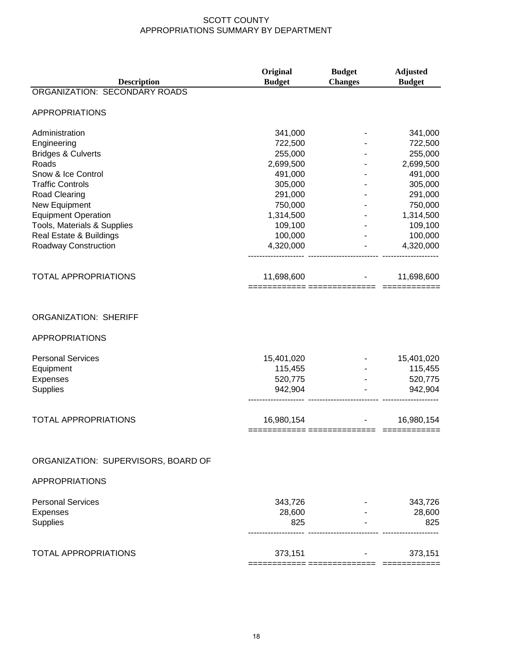|                                      | Original      | <b>Budget</b>  | <b>Adjusted</b> |
|--------------------------------------|---------------|----------------|-----------------|
| <b>Description</b>                   | <b>Budget</b> | <b>Changes</b> | <b>Budget</b>   |
| <b>ORGANIZATION: SECONDARY ROADS</b> |               |                |                 |
| <b>APPROPRIATIONS</b>                |               |                |                 |
| Administration                       | 341,000       |                | 341,000         |
| Engineering                          | 722,500       |                | 722,500         |
| <b>Bridges &amp; Culverts</b>        | 255,000       |                | 255,000         |
| Roads                                | 2,699,500     |                | 2,699,500       |
| Snow & Ice Control                   | 491,000       |                | 491,000         |
| <b>Traffic Controls</b>              | 305,000       |                | 305,000         |
| Road Clearing                        | 291,000       |                | 291,000         |
| New Equipment                        | 750,000       |                | 750,000         |
| <b>Equipment Operation</b>           | 1,314,500     |                | 1,314,500       |
| Tools, Materials & Supplies          | 109,100       |                | 109,100         |
| Real Estate & Buildings              | 100,000       |                | 100,000         |
| Roadway Construction                 | 4,320,000     |                | 4,320,000       |
| <b>TOTAL APPROPRIATIONS</b>          | 11,698,600    |                | 11,698,600      |
|                                      |               |                |                 |
| <b>ORGANIZATION: SHERIFF</b>         |               |                |                 |
|                                      |               |                |                 |
| <b>APPROPRIATIONS</b>                |               |                |                 |
| <b>Personal Services</b>             | 15,401,020    |                | 15,401,020      |
| Equipment                            | 115,455       |                | 115,455         |
| Expenses                             | 520,775       |                | 520,775         |
| <b>Supplies</b>                      | 942,904       |                | 942,904         |
| <b>TOTAL APPROPRIATIONS</b>          | 16,980,154    |                | 16,980,154      |
|                                      |               |                |                 |
| ORGANIZATION: SUPERVISORS, BOARD OF  |               |                |                 |
| <b>APPROPRIATIONS</b>                |               |                |                 |
| <b>Personal Services</b>             | 343,726       |                | 343,726         |
| <b>Expenses</b>                      | 28,600        |                | 28,600          |
| <b>Supplies</b>                      | 825           |                | 825             |
| <b>TOTAL APPROPRIATIONS</b>          | 373,151       |                | 373,151         |
|                                      |               |                |                 |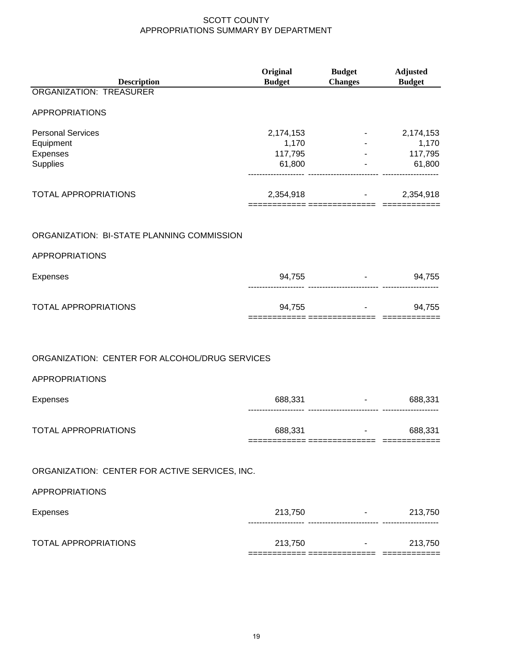| <b>Description</b>                             | Original<br><b>Budget</b> | <b>Budget</b><br><b>Changes</b>   | <b>Adjusted</b><br><b>Budget</b>  |
|------------------------------------------------|---------------------------|-----------------------------------|-----------------------------------|
| <b>ORGANIZATION: TREASURER</b>                 |                           |                                   |                                   |
| <b>APPROPRIATIONS</b>                          |                           |                                   |                                   |
| <b>Personal Services</b>                       | 2,174,153                 |                                   | 2,174,153                         |
| Equipment                                      | 1,170                     |                                   | 1,170                             |
| Expenses                                       | 117,795                   |                                   | 117,795<br>And the company        |
| Supplies                                       | 61,800                    |                                   | $-61,800$                         |
| TOTAL APPROPRIATIONS                           | 2,354,918                 |                                   | 2,354,918                         |
| ORGANIZATION: BI-STATE PLANNING COMMISSION     |                           |                                   |                                   |
| <b>APPROPRIATIONS</b>                          |                           |                                   |                                   |
| Expenses                                       |                           | 94,755                            | $-94,755$                         |
| <b>TOTAL APPROPRIATIONS</b>                    |                           | 94,755                            | 94,755                            |
| ORGANIZATION: CENTER FOR ALCOHOL/DRUG SERVICES |                           |                                   |                                   |
| <b>APPROPRIATIONS</b>                          |                           |                                   |                                   |
| Expenses                                       | 688,331                   | ---------------------- -------    | 688,331<br><b>Harry Committee</b> |
| <b>TOTAL APPROPRIATIONS</b>                    | 688,331                   | and the state of the state of the | 688,331                           |
| ORGANIZATION: CENTER FOR ACTIVE SERVICES, INC. |                           |                                   |                                   |
| <b>APPROPRIATIONS</b>                          |                           |                                   |                                   |
| Expenses                                       | 213,750                   |                                   | $-213,750$                        |
| <b>TOTAL APPROPRIATIONS</b>                    |                           | 213,750 - 213,750                 | 213,750                           |
|                                                |                           |                                   |                                   |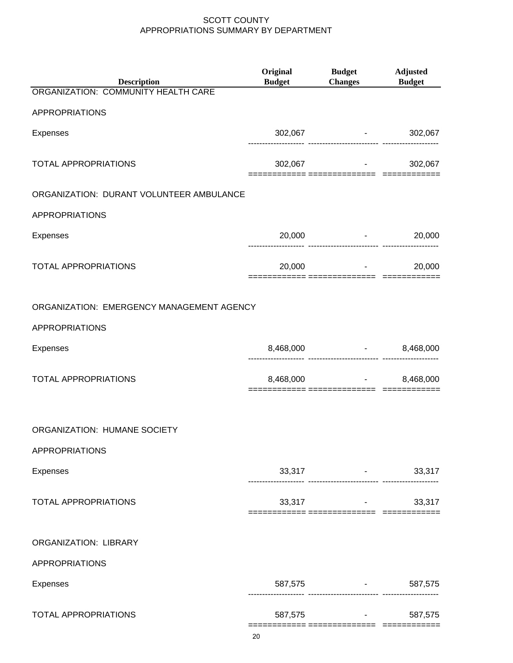| <b>Description</b>                        | Original<br><b>Budget</b> | <b>Budget</b><br>Changes Budget                      | <b>Adjusted</b>                 |
|-------------------------------------------|---------------------------|------------------------------------------------------|---------------------------------|
| ORGANIZATION: COMMUNITY HEALTH CARE       |                           |                                                      |                                 |
| <b>APPROPRIATIONS</b>                     |                           |                                                      |                                 |
| <b>Expenses</b>                           |                           | 302,067 - 302,067                                    |                                 |
| <b>TOTAL APPROPRIATIONS</b>               |                           | 302,067                                              | 302,067<br><b>All Contracts</b> |
| ORGANIZATION: DURANT VOLUNTEER AMBULANCE  |                           |                                                      |                                 |
| <b>APPROPRIATIONS</b>                     |                           |                                                      |                                 |
| <b>Expenses</b>                           | 20,000                    | and the state of the state of                        | 20,000                          |
| <b>TOTAL APPROPRIATIONS</b>               | 20,000                    |                                                      | 20,000                          |
| ORGANIZATION: EMERGENCY MANAGEMENT AGENCY |                           |                                                      |                                 |
| APPROPRIATIONS                            |                           |                                                      |                                 |
| <b>Expenses</b>                           | 8,468,000                 | 8,468,000<br>------------------------- ------        |                                 |
| <b>TOTAL APPROPRIATIONS</b>               | 8,468,000                 | and the company of the                               | 8,468,000                       |
| ORGANIZATION: HUMANE SOCIETY              |                           |                                                      |                                 |
| APPROPRIATIONS                            |                           |                                                      |                                 |
| <b>Expenses</b>                           |                           | 33,317 - 33,317                                      |                                 |
| <b>TOTAL APPROPRIATIONS</b>               |                           | $33,317$ -                                           | 33,317                          |
| ORGANIZATION: LIBRARY                     |                           |                                                      |                                 |
| <b>APPROPRIATIONS</b>                     |                           |                                                      |                                 |
| <b>Expenses</b>                           |                           | 587,575 - 587,575<br>---------------------- -------- |                                 |
| <b>TOTAL APPROPRIATIONS</b>               |                           | 587,575 - 587,575                                    |                                 |
|                                           |                           |                                                      |                                 |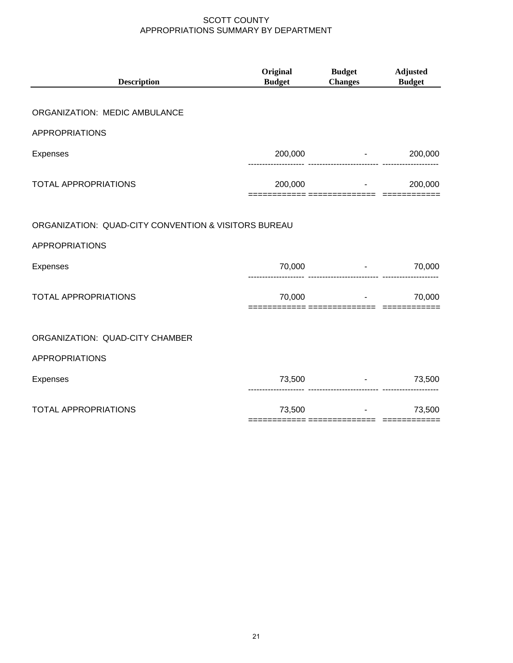| <b>Description</b>                                   | Original<br><b>Budget</b> | <b>Budget</b><br><b>Changes</b>   | <b>Adjusted</b><br><b>Budget</b> |
|------------------------------------------------------|---------------------------|-----------------------------------|----------------------------------|
| ORGANIZATION: MEDIC AMBULANCE                        |                           |                                   |                                  |
|                                                      |                           |                                   |                                  |
| <b>APPROPRIATIONS</b>                                |                           |                                   |                                  |
| <b>Expenses</b>                                      | 200,000                   | and the state of the state        | 200,000                          |
| <b>TOTAL APPROPRIATIONS</b>                          | 200,000                   |                                   | 200,000                          |
|                                                      |                           | ====== ===========                |                                  |
| ORGANIZATION: QUAD-CITY CONVENTION & VISITORS BUREAU |                           |                                   |                                  |
| <b>APPROPRIATIONS</b>                                |                           |                                   |                                  |
| Expenses                                             | 70,000                    | ----------------------- --------- | 70,000                           |
| <b>TOTAL APPROPRIATIONS</b>                          | 70,000                    | and the state of the state        | 70,000                           |
|                                                      |                           |                                   |                                  |
| ORGANIZATION: QUAD-CITY CHAMBER                      |                           |                                   |                                  |
| <b>APPROPRIATIONS</b>                                |                           |                                   |                                  |
| Expenses                                             |                           | 73,500                            | $-73,500$                        |
| <b>TOTAL APPROPRIATIONS</b>                          | 73,500                    | <b>Communication</b>              | 73,500                           |
|                                                      |                           |                                   |                                  |